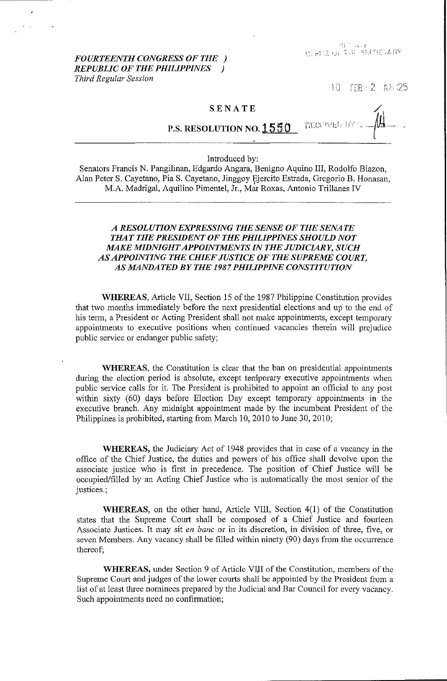$``\ddot{i}''\ddot{a}''$  ,  $\ddot{a}$  ,  $\ddot{t}$  $t$  and  $t$  is the second  $\mathcal{L}^{\text{max}}$ 

*FOURTEENTH CONGRESS OF THE ) REPUBLIC OF THE PHILIPPINES ) Third Regular Session* 

 $10$   $\text{TIR} - 2$   $\text{A}8.25$ 

## SENATE

**MOPAL** P.S. RESOLUTION NO. 1550

Introduced by:

Senators Francis N. Pangilinan, Edgardo Angara, Benigno Aquino III, Rodolfo Biazon, Alan Peter S. Cayetano, Pia S. Cayetano, Jinggoy Ejercito Estrada, Gregorio B. Honasan, , M.A. Madrigal, Aquilino Pimentel, Jr., Mar Roxas, Antonio Trillanes IV

## *A RESOLUTION EXPRESSING THE SENSE OF THE SENATE THAT THE PRESIDENT OF THE PHILIPPINES SHOULD NOT MAKE MIDNIGHT APPOINTMENTS IN THE JUDICIARY, SUCH AS APPOINTING THE CHIEF JUSTICE OF THE SUPREME COURT, AS MANDATED BY THE 1987 PHILIPPINE CONSTITUTION*

WHEREAS, Article VII, Section 15 of the 1987 Philippine Constitution provides that two months immediately before the next presidential elections and up to the end of his term, a President or Acting President shall not make appointments, except temporary appointments to executive positions when continued vacancies therein will prejudice public service or endanger public safety;

WHEREAS, the Constitution is clear that the ban on presidential appointments during the election period is absolute, except temporary executive appointments when public service calls for it. The President is prohibited to appoint an official to any post within sixty (60) days before Election Day except temporary appointments in the executive branch. Any midnight appointment made by the incumbent President of the Philippines is prohibited, starting from March 10, 2010 to June 30, 2010;

WHEREAS, the Judiciary Act of 1948 provides that in case of a vacancy in the office of the Chief Justice, the duties and powers of his office shall devolve upon the associate justice who is first in precedence. The position of Chief Justice will be occupied/filled by an Acting Chief Justice who is automatically the most senior of the justices.;

WHEREAS, on the other hand, Article VIII, Section 4(1) of the Constitution states that the Supreme Court shall be composed of a Chief Justice and fourteen Associate Justices. It may sit *en banc* or in its discretion, in division of three, five, or seven Members. Any vacancy shall be filled within ninety (90) days from the occurrence thereof;

WHEREAS, under Section 9 of Article VIJI of the Constitution, members of the Supreme Court and judges of the lower courts shall be appointed by the President from a list of at least three nominees prepared by the Judicial and Bar Council for every vacancy. Such appointments need no confirmation;